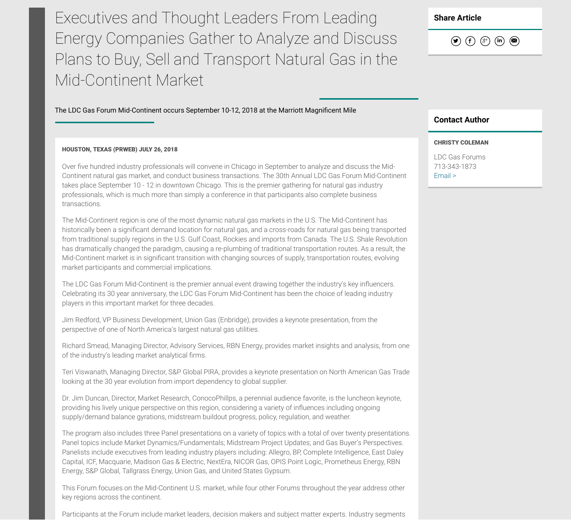Executives and Thought Leaders From Leading Energy Companies Gather to Analyze and Discuss Plans to Buy, Sell and Transport Natural Gas in the Mid-Continent Market

The LDC Gas Forum Mid-Continent occurs September 10-12, 2018 at the Marriott Magnificent Mile

## HOUSTON, TEXAS (PRWEB) JULY 26, 2018

Over five hundred industry professionals will convene in Chicago in September to analyze and discuss the Mid-Continent natural gas market, and conduct business transactions. The 30th Annual LDC Gas Forum Mid-Continent takes place September 10 - 12 in downtown Chicago. This is the premier gathering for natural gas industry professionals, which is much more than simply a conference in that participants also complete business transactions.

The Mid-Continent region is one of the most dynamic natural gas markets in the U.S. The Mid-Continent has historically been a significant demand location for natural gas, and a cross-roads for natural gas being transported from traditional supply regions in the U.S. Gulf Coast, Rockies and imports from Canada. The U.S. Shale Revolution has dramatically changed the paradigm, causing a re-plumbing of traditional transportation routes. As a result, the Mid-Continent market is in significant transition with changing sources of supply, transportation routes, evolving market participants and commercial implications.

The LDC Gas Forum Mid-Continent is the premier annual event drawing together the industry's key influencers. Celebrating its 30 year anniversary, the LDC Gas Forum Mid-Continent has been the choice of leading industry players in this important market for three decades.

Jim Redford, VP Business Development, Union Gas (Enbridge), provides a keynote presentation, from the perspective of one of North America's largest natural gas utilities.

Richard Smead, Managing Director, Advisory Services, RBN Energy, provides market insights and analysis, from one of the industry's leading market analytical firms.

Teri Viswanath, Managing Director, S&P Global PIRA, provides a keynote presentation on North American Gas Trade looking at the 30 year evolution from import dependency to global supplier.

Dr. Jim Duncan, Director, Market Research, ConocoPhillps, a perennial audience favorite, is the luncheon keynote, providing his lively unique perspective on this region, considering a variety of influences including ongoing supply/demand balance gyrations, midstream buildout progress, policy, regulation, and weather.

The program also includes three Panel presentations on a variety of topics with a total of over twenty presentations. Panel topics include Market Dynamics/Fundamentals; Midstream Project Updates; and Gas Buyer's Perspectives. Panelists include executives from leading industry players including: Allegro, BP, Complete Intelligence, East Daley Capital, ICF, Macquarie, Madison Gas & Electric, NextEra, NICOR Gas, OPIS Point Logic, Prometheus Energy, RBN Energy, S&P Global, Tallgrass Energy, Union Gas, and United States Gypsum.

This Forum focuses on the Mid-Continent U.S. market, while four other Forums throughout the year address other key regions across the continent.

Participants at the Forum include market leaders, decision makers and subject matter experts. Industry segments

**Share Article**



## **Contact Author**

## CHRISTY COLEMAN

LDC Gas Forums 713-343-1873 Email >